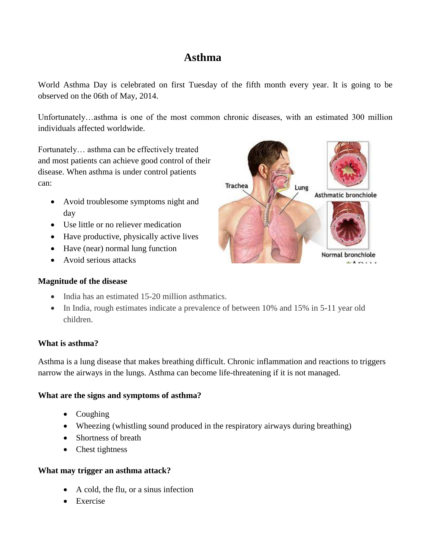# **Asthma**

World Asthma Day is celebrated on first Tuesday of the fifth month every year. It is going to be observed on the 06th of May, 2014.

Unfortunately…asthma is one of the most common chronic diseases, with an estimated 300 million individuals affected worldwide.

Fortunately… asthma can be effectively treated and most patients can achieve good control of their disease. When asthma is under control patients can:

- Avoid troublesome symptoms night and day
- Use little or no reliever medication
- Have productive, physically active lives
- Have (near) normal lung function
- Avoid serious attacks

# **Magnitude of the disease**

- India has an estimated 15-20 million asthmatics.
- In India, rough estimates indicate a prevalence of between 10% and 15% in 5-11 year old children.

# **What is asthma?**

Asthma is a lung disease that makes breathing difficult. Chronic inflammation and reactions to triggers narrow the airways in the lungs. Asthma can become life-threatening if it is not managed.

# **What are the signs and symptoms of asthma?**

- Coughing
- Wheezing (whistling sound produced in the respiratory [airways](http://en.wikipedia.org/wiki/Airways) during breathing)
- Shortness of breath
- Chest tightness

# **What may trigger an asthma attack?**

- A cold, the flu, or a sinus infection
- Exercise